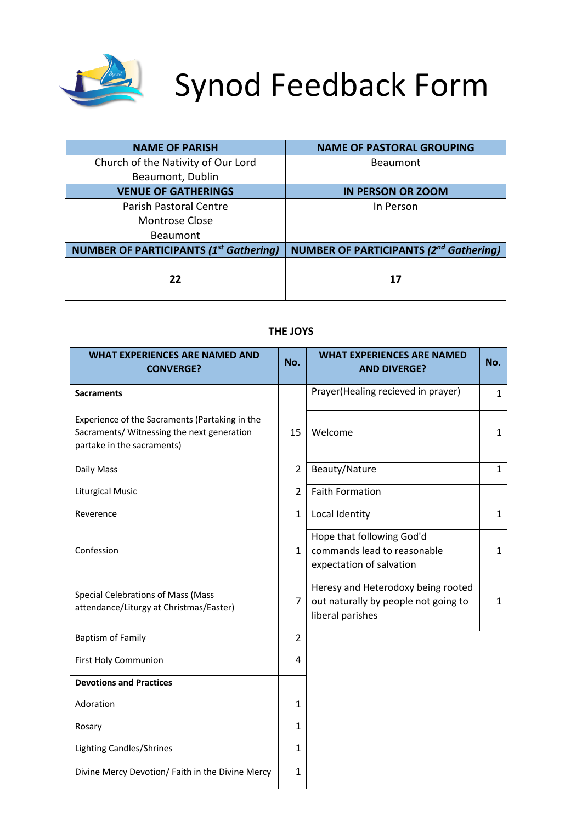

# Synod Feedback Form

| <b>NAME OF PARISH</b>                         | <b>NAME OF PASTORAL GROUPING</b>              |
|-----------------------------------------------|-----------------------------------------------|
| Church of the Nativity of Our Lord            | <b>Beaumont</b>                               |
| Beaumont, Dublin                              |                                               |
| <b>VENUE OF GATHERINGS</b>                    | <b>IN PERSON OR ZOOM</b>                      |
| <b>Parish Pastoral Centre</b>                 | In Person                                     |
| Montrose Close                                |                                               |
| <b>Beaumont</b>                               |                                               |
| <b>NUMBER OF PARTICIPANTS (1st Gathering)</b> | <b>NUMBER OF PARTICIPANTS (2nd Gathering)</b> |
| 22                                            | 17                                            |

## **THE JOYS**

| <b>WHAT EXPERIENCES ARE NAMED AND</b><br><b>CONVERGE?</b>                                                                  | No.            | <b>WHAT EXPERIENCES ARE NAMED</b><br><b>AND DIVERGE?</b>                                       | No.          |
|----------------------------------------------------------------------------------------------------------------------------|----------------|------------------------------------------------------------------------------------------------|--------------|
| <b>Sacraments</b>                                                                                                          |                | Prayer(Healing recieved in prayer)                                                             | $\mathbf{1}$ |
| Experience of the Sacraments (Partaking in the<br>Sacraments/ Witnessing the next generation<br>partake in the sacraments) | 15             | Welcome                                                                                        | 1            |
| Daily Mass                                                                                                                 | $\overline{2}$ | Beauty/Nature                                                                                  | $\mathbf{1}$ |
| <b>Liturgical Music</b>                                                                                                    | $\overline{2}$ | <b>Faith Formation</b>                                                                         |              |
| Reverence                                                                                                                  | $\mathbf{1}$   | Local Identity                                                                                 | $\mathbf{1}$ |
| Confession                                                                                                                 | $\mathbf{1}$   | Hope that following God'd<br>commands lead to reasonable<br>expectation of salvation           | $\mathbf{1}$ |
| Special Celebrations of Mass (Mass<br>attendance/Liturgy at Christmas/Easter)                                              | $\overline{7}$ | Heresy and Heterodoxy being rooted<br>out naturally by people not going to<br>liberal parishes | $\mathbf{1}$ |
| <b>Baptism of Family</b>                                                                                                   | $\overline{2}$ |                                                                                                |              |
| First Holy Communion                                                                                                       | 4              |                                                                                                |              |
| <b>Devotions and Practices</b>                                                                                             |                |                                                                                                |              |
| Adoration                                                                                                                  | $\mathbf{1}$   |                                                                                                |              |
| Rosary                                                                                                                     | $\mathbf{1}$   |                                                                                                |              |
| <b>Lighting Candles/Shrines</b>                                                                                            | $\mathbf{1}$   |                                                                                                |              |
| Divine Mercy Devotion/ Faith in the Divine Mercy                                                                           | $\mathbf{1}$   |                                                                                                |              |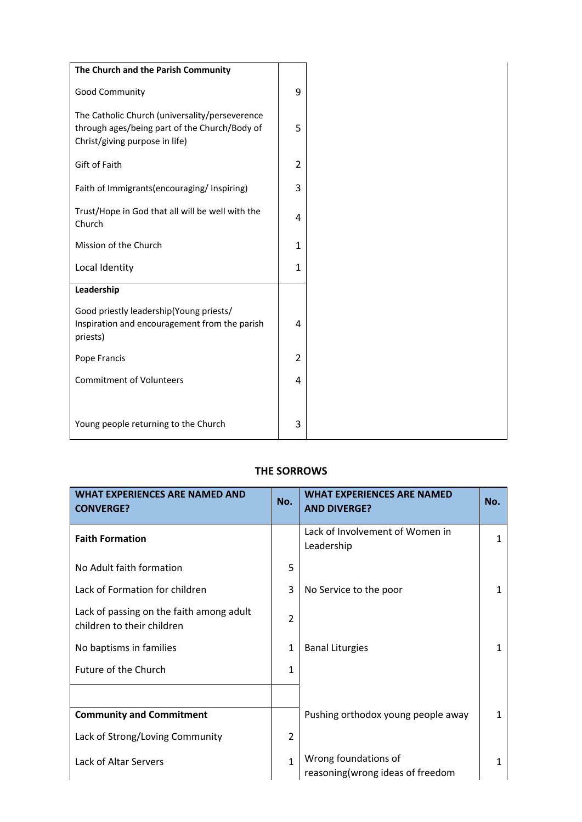| The Church and the Parish Community                                                                                               |                |
|-----------------------------------------------------------------------------------------------------------------------------------|----------------|
| Good Community                                                                                                                    | 9              |
| The Catholic Church (universality/perseverence<br>through ages/being part of the Church/Body of<br>Christ/giving purpose in life) | 5              |
| Gift of Faith                                                                                                                     | $\overline{2}$ |
| Faith of Immigrants (encouraging/Inspiring)                                                                                       | 3              |
| Trust/Hope in God that all will be well with the<br>Church                                                                        | 4              |
| Mission of the Church                                                                                                             | 1              |
| Local Identity                                                                                                                    | $\mathbf{1}$   |
| Leadership                                                                                                                        |                |
| Good priestly leadership(Young priests/<br>Inspiration and encouragement from the parish<br>priests)                              | 4              |
| Pope Francis                                                                                                                      | $\overline{2}$ |
| <b>Commitment of Volunteers</b>                                                                                                   | 4              |
|                                                                                                                                   |                |
| Young people returning to the Church                                                                                              | 3              |

# **THE SORROWS**

| <b>WHAT EXPERIENCES ARE NAMED AND</b><br><b>CONVERGE?</b>              | No.                     | <b>WHAT EXPERIENCES ARE NAMED</b><br><b>AND DIVERGE?</b>  | No. |
|------------------------------------------------------------------------|-------------------------|-----------------------------------------------------------|-----|
| <b>Faith Formation</b>                                                 |                         | Lack of Involvement of Women in<br>Leadership             | 1   |
| No Adult faith formation                                               | 5                       |                                                           |     |
| Lack of Formation for children                                         | 3                       | No Service to the poor                                    | 1   |
| Lack of passing on the faith among adult<br>children to their children | $\overline{\mathbf{c}}$ |                                                           |     |
| No baptisms in families                                                | $\mathbf{1}$            | <b>Banal Liturgies</b>                                    |     |
| Future of the Church                                                   | $\mathbf{1}$            |                                                           |     |
|                                                                        |                         |                                                           |     |
| <b>Community and Commitment</b>                                        |                         | Pushing orthodox young people away                        | 1   |
| Lack of Strong/Loving Community                                        | $\overline{2}$          |                                                           |     |
| Lack of Altar Servers                                                  | 1                       | Wrong foundations of<br>reasoning (wrong ideas of freedom | 1   |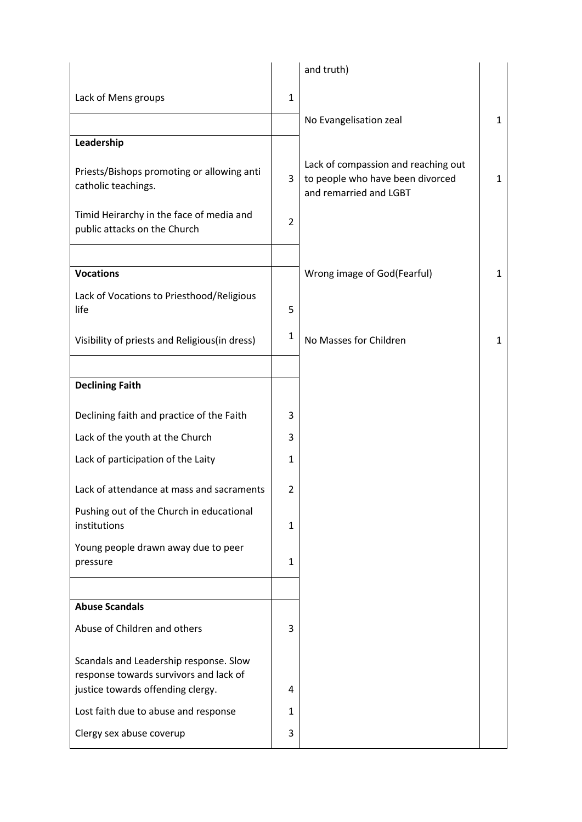|                                                                                                                       |              | and truth)                                                                                        |              |
|-----------------------------------------------------------------------------------------------------------------------|--------------|---------------------------------------------------------------------------------------------------|--------------|
| Lack of Mens groups                                                                                                   | $\mathbf{1}$ |                                                                                                   |              |
|                                                                                                                       |              | No Evangelisation zeal                                                                            | $\mathbf{1}$ |
| Leadership                                                                                                            |              |                                                                                                   |              |
| Priests/Bishops promoting or allowing anti<br>catholic teachings.                                                     | 3            | Lack of compassion and reaching out<br>to people who have been divorced<br>and remarried and LGBT | 1            |
| Timid Heirarchy in the face of media and<br>public attacks on the Church                                              | 2            |                                                                                                   |              |
| <b>Vocations</b>                                                                                                      |              | Wrong image of God(Fearful)                                                                       | $\mathbf{1}$ |
| Lack of Vocations to Priesthood/Religious<br>life                                                                     | 5            |                                                                                                   |              |
| Visibility of priests and Religious(in dress)                                                                         | 1            | No Masses for Children                                                                            | $\mathbf{1}$ |
|                                                                                                                       |              |                                                                                                   |              |
| <b>Declining Faith</b>                                                                                                |              |                                                                                                   |              |
| Declining faith and practice of the Faith                                                                             | 3            |                                                                                                   |              |
| Lack of the youth at the Church                                                                                       | 3            |                                                                                                   |              |
| Lack of participation of the Laity                                                                                    | 1            |                                                                                                   |              |
| Lack of attendance at mass and sacraments                                                                             | 2            |                                                                                                   |              |
| Pushing out of the Church in educational<br>institutions                                                              | 1            |                                                                                                   |              |
| Young people drawn away due to peer<br>pressure                                                                       | 1            |                                                                                                   |              |
|                                                                                                                       |              |                                                                                                   |              |
| <b>Abuse Scandals</b>                                                                                                 |              |                                                                                                   |              |
| Abuse of Children and others                                                                                          | 3            |                                                                                                   |              |
| Scandals and Leadership response. Slow<br>response towards survivors and lack of<br>justice towards offending clergy. | 4            |                                                                                                   |              |
| Lost faith due to abuse and response                                                                                  | 1            |                                                                                                   |              |
| Clergy sex abuse coverup                                                                                              | 3            |                                                                                                   |              |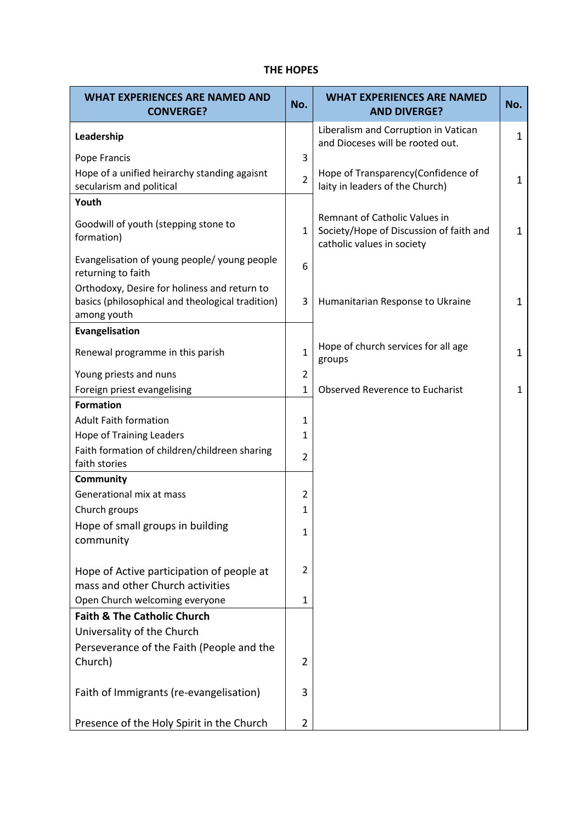## **THE HOPES**

| <b>WHAT EXPERIENCES ARE NAMED AND</b><br><b>CONVERGE?</b>                                                       | No.            | <b>WHAT EXPERIENCES ARE NAMED</b><br><b>AND DIVERGE?</b>                                               | No.          |
|-----------------------------------------------------------------------------------------------------------------|----------------|--------------------------------------------------------------------------------------------------------|--------------|
| Leadership                                                                                                      |                | Liberalism and Corruption in Vatican<br>and Dioceses will be rooted out.                               | 1            |
| Pope Francis                                                                                                    | 3              |                                                                                                        |              |
| Hope of a unified heirarchy standing agaisnt<br>secularism and political                                        | $\overline{2}$ | Hope of Transparency(Confidence of<br>laity in leaders of the Church)                                  | $\mathbf{1}$ |
| Youth                                                                                                           |                |                                                                                                        |              |
| Goodwill of youth (stepping stone to<br>formation)                                                              | $\mathbf{1}$   | Remnant of Catholic Values in<br>Society/Hope of Discussion of faith and<br>catholic values in society | $\mathbf{1}$ |
| Evangelisation of young people/ young people<br>returning to faith                                              | 6              |                                                                                                        |              |
| Orthodoxy, Desire for holiness and return to<br>basics (philosophical and theological tradition)<br>among youth | 3              | Humanitarian Response to Ukraine                                                                       | 1            |
| Evangelisation                                                                                                  |                |                                                                                                        |              |
| Renewal programme in this parish                                                                                | $\mathbf 1$    | Hope of church services for all age<br>groups                                                          | 1            |
| Young priests and nuns                                                                                          | $\overline{2}$ |                                                                                                        |              |
| Foreign priest evangelising                                                                                     | $\mathbf 1$    | <b>Observed Reverence to Eucharist</b>                                                                 | $\mathbf{1}$ |
| <b>Formation</b>                                                                                                |                |                                                                                                        |              |
| <b>Adult Faith formation</b>                                                                                    | $\mathbf 1$    |                                                                                                        |              |
| <b>Hope of Training Leaders</b><br>Faith formation of children/childreen sharing                                | 1              |                                                                                                        |              |
| faith stories                                                                                                   | $\overline{2}$ |                                                                                                        |              |
| <b>Community</b>                                                                                                |                |                                                                                                        |              |
| Generational mix at mass                                                                                        | $\overline{2}$ |                                                                                                        |              |
| Church groups                                                                                                   | 1              |                                                                                                        |              |
| Hope of small groups in building<br>community                                                                   | 1              |                                                                                                        |              |
| Hope of Active participation of people at<br>mass and other Church activities                                   | $\overline{2}$ |                                                                                                        |              |
| Open Church welcoming everyone                                                                                  | $\mathbf{1}$   |                                                                                                        |              |
| <b>Faith &amp; The Catholic Church</b>                                                                          |                |                                                                                                        |              |
| Universality of the Church                                                                                      |                |                                                                                                        |              |
| Perseverance of the Faith (People and the                                                                       |                |                                                                                                        |              |
| Church)                                                                                                         | $\overline{2}$ |                                                                                                        |              |
| Faith of Immigrants (re-evangelisation)                                                                         | 3              |                                                                                                        |              |
| Presence of the Holy Spirit in the Church                                                                       | $\overline{2}$ |                                                                                                        |              |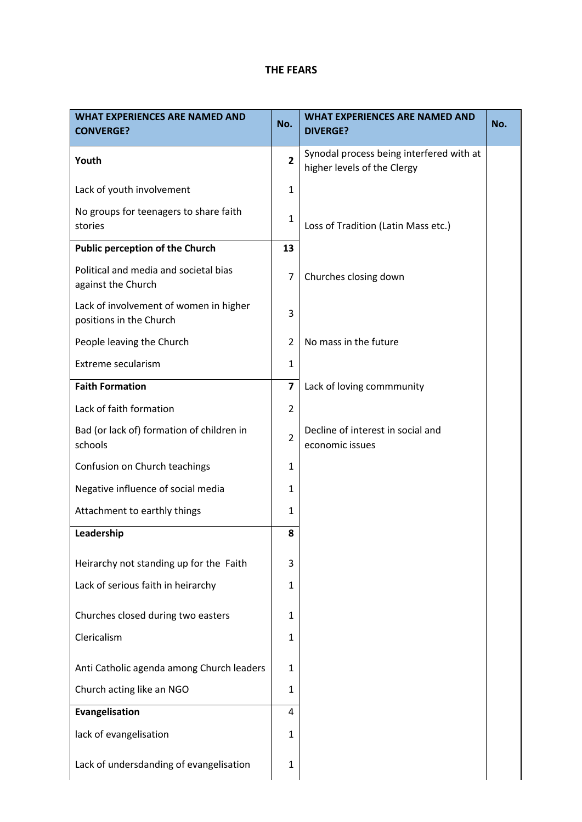## **THE FEARS**

| <b>WHAT EXPERIENCES ARE NAMED AND</b><br><b>CONVERGE?</b>         | No.                     | <b>WHAT EXPERIENCES ARE NAMED AND</b><br><b>DIVERGE?</b>                | No. |
|-------------------------------------------------------------------|-------------------------|-------------------------------------------------------------------------|-----|
| Youth                                                             | $\overline{2}$          | Synodal process being interfered with at<br>higher levels of the Clergy |     |
| Lack of youth involvement                                         | $\mathbf{1}$            |                                                                         |     |
| No groups for teenagers to share faith<br>stories                 | $\mathbf{1}$            | Loss of Tradition (Latin Mass etc.)                                     |     |
| <b>Public perception of the Church</b>                            | 13                      |                                                                         |     |
| Political and media and societal bias<br>against the Church       | 7                       | Churches closing down                                                   |     |
| Lack of involvement of women in higher<br>positions in the Church | 3                       |                                                                         |     |
| People leaving the Church                                         | $\overline{2}$          | No mass in the future                                                   |     |
| Extreme secularism                                                | $\mathbf{1}$            |                                                                         |     |
| <b>Faith Formation</b>                                            | $\overline{\mathbf{z}}$ | Lack of loving commmunity                                               |     |
| Lack of faith formation                                           | $\overline{2}$          |                                                                         |     |
| Bad (or lack of) formation of children in<br>schools              | $\overline{2}$          | Decline of interest in social and<br>economic issues                    |     |
| Confusion on Church teachings                                     | $\mathbf{1}$            |                                                                         |     |
| Negative influence of social media                                | $\mathbf{1}$            |                                                                         |     |
| Attachment to earthly things                                      | 1                       |                                                                         |     |
| Leadership                                                        | 8                       |                                                                         |     |
| Heirarchy not standing up for the Faith                           | 3                       |                                                                         |     |
| Lack of serious faith in heirarchy                                | 1                       |                                                                         |     |
| Churches closed during two easters                                | 1                       |                                                                         |     |
| Clericalism                                                       | $\mathbf{1}$            |                                                                         |     |
| Anti Catholic agenda among Church leaders                         | 1                       |                                                                         |     |
| Church acting like an NGO                                         | $\mathbf{1}$            |                                                                         |     |
| Evangelisation                                                    | 4                       |                                                                         |     |
| lack of evangelisation                                            | 1                       |                                                                         |     |
| Lack of undersdanding of evangelisation                           | $\mathbf{1}$            |                                                                         |     |